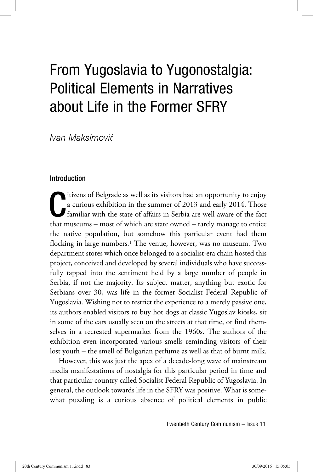# From Yugoslavia to Yugonostalgia: Political Elements in Narratives about Life in the Former SFRY

*Ivan Maksimovi*ć

## Introduction

Itizens of Belgrade as well as its visitors had an opportunity to enjoy a curious exhibition in the summer of 2013 and early 2014. Those familiar with the state of affairs in Serbia are well aware of the fact a curious exhibition in the summer of 2013 and early 2014. Those familiar with the state of affairs in Serbia are well aware of the fact that museums – most of which are state owned – rarely manage to entice the native population, but somehow this particular event had them flocking in large numbers.<sup>1</sup> The venue, however, was no museum. Two department stores which once belonged to a socialist-era chain hosted this project, conceived and developed by several individuals who have successfully tapped into the sentiment held by a large number of people in Serbia, if not the majority. Its subject matter, anything but exotic for Serbians over 30, was life in the former Socialist Federal Republic of Yugoslavia. Wishing not to restrict the experience to a merely passive one, its authors enabled visitors to buy hot dogs at classic Yugoslav kiosks, sit in some of the cars usually seen on the streets at that time, or find themselves in a recreated supermarket from the 1960s. The authors of the exhibition even incorporated various smells reminding visitors of their lost youth – the smell of Bulgarian perfume as well as that of burnt milk.

However, this was just the apex of a decade-long wave of mainstream media manifestations of nostalgia for this particular period in time and that particular country called Socialist Federal Republic of Yugoslavia. In general, the outlook towards life in the SFRY was positive. What is somewhat puzzling is a curious absence of political elements in public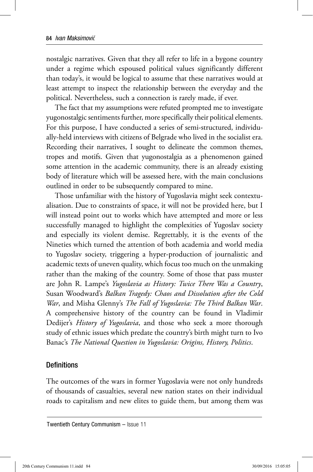nostalgic narratives. Given that they all refer to life in a bygone country under a regime which espoused political values significantly different than today's, it would be logical to assume that these narratives would at least attempt to inspect the relationship between the everyday and the political. Nevertheless, such a connection is rarely made, if ever.

The fact that my assumptions were refuted prompted me to investigate yugonostalgic sentiments further, more specifically their political elements. For this purpose, I have conducted a series of semi-structured, individually-held interviews with citizens of Belgrade who lived in the socialist era. Recording their narratives, I sought to delineate the common themes, tropes and motifs. Given that yugonostalgia as a phenomenon gained some attention in the academic community, there is an already existing body of literature which will be assessed here, with the main conclusions outlined in order to be subsequently compared to mine.

Those unfamiliar with the history of Yugoslavia might seek contextualisation. Due to constraints of space, it will not be provided here, but I will instead point out to works which have attempted and more or less successfully managed to highlight the complexities of Yugoslav society and especially its violent demise. Regrettably, it is the events of the Nineties which turned the attention of both academia and world media to Yugoslav society, triggering a hyper-production of journalistic and academic texts of uneven quality, which focus too much on the unmaking rather than the making of the country. Some of those that pass muster are John R. Lampe's *Yugoslavia as History: Twice There Was a Country*, Susan Woodward's *Balkan Tragedy: Chaos and Dissolution after the Cold War*, and Misha Glenny's *The Fall of Yugoslavia: The Third Balkan War*. A comprehensive history of the country can be found in Vladimir Dedijer's *History of Yugoslavia*, and those who seek a more thorough study of ethnic issues which predate the country's birth might turn to Ivo Banac's *The National Question in Yugoslavia: Origins, History, Politics*.

#### **Definitions**

The outcomes of the wars in former Yugoslavia were not only hundreds of thousands of casualties, several new nation states on their individual roads to capitalism and new elites to guide them, but among them was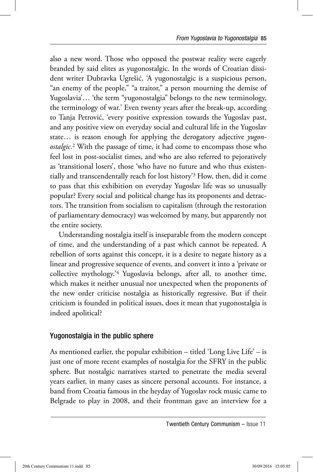also a new word. Those who opposed the postwar reality were eagerly branded by said elites as yugonostalgic. In the words of Croatian dissident writer Dubravka Ugrešić, 'A yugonostalgic is a suspicious person, "an enemy of the people," "a traitor," a person mourning the demise of Yugoslavia'… 'the term "yugonostalgia" belongs to the new terminology, the terminology of war.' Even twenty years after the break-up, according to Tanja Petrović, 'every positive expression towards the Yugoslav past, and any positive view on everyday social and cultural life in the Yugoslav state… is reason enough for applying the derogatory adjective *yugonostalgic*. 2 With the passage of time, it had come to encompass those who feel lost in post-socialist times, and who are also referred to pejoratively as 'transitional losers', those 'who have no future and who thus existentially and transcendentally reach for lost history'3 How, then, did it come to pass that this exhibition on everyday Yugoslav life was so unusually popular? Every social and political change has its proponents and detractors. The transition from socialism to capitalism (through the restoration of parliamentary democracy) was welcomed by many, but apparently not the entire society.

Understanding nostalgia itself is inseparable from the modern concept of time, and the understanding of a past which cannot be repeated. A rebellion of sorts against this concept, it is a desire to negate history as a linear and progressive sequence of events, and convert it into a 'private or collective mythology.'4 Yugoslavia belongs, after all, to another time, which makes it neither unusual nor unexpected when the proponents of the new order criticise nostalgia as historically regressive. But if their criticism is founded in political issues, does it mean that yugonostalgia is indeed apolitical?

## Yugonostalgia in the public sphere

As mentioned earlier, the popular exhibition – titled 'Long Live Life' – is just one of more recent examples of nostalgia for the SFRY in the public sphere. But nostalgic narratives started to penetrate the media several years earlier, in many cases as sincere personal accounts. For instance, a band from Croatia famous in the heyday of Yugoslav rock music came to Belgrade to play in 2008, and their frontman gave an interview for a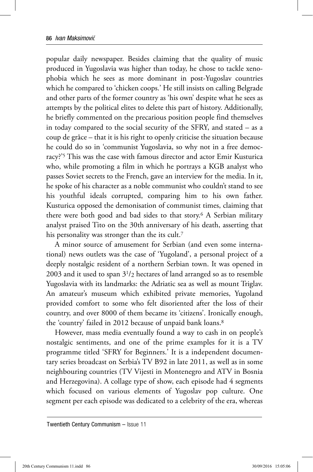popular daily newspaper. Besides claiming that the quality of music produced in Yugoslavia was higher than today, he chose to tackle xenophobia which he sees as more dominant in post-Yugoslav countries which he compared to 'chicken coops.' He still insists on calling Belgrade and other parts of the former country as 'his own' despite what he sees as attempts by the political elites to delete this part of history. Additionally, he briefly commented on the precarious position people find themselves in today compared to the social security of the SFRY, and stated – as a coup de grâce – that it is his right to openly criticise the situation because he could do so in 'communist Yugoslavia, so why not in a free democracy?'5 This was the case with famous director and actor Emir Kusturica who, while promoting a film in which he portrays a KGB analyst who passes Soviet secrets to the French, gave an interview for the media. In it, he spoke of his character as a noble communist who couldn't stand to see his youthful ideals corrupted, comparing him to his own father. Kusturica opposed the demonisation of communist times, claiming that there were both good and bad sides to that story.6 A Serbian military analyst praised Tito on the 30th anniversary of his death, asserting that his personality was stronger than the its cult.<sup>7</sup>

A minor source of amusement for Serbian (and even some international) news outlets was the case of 'Yugoland', a personal project of a deeply nostalgic resident of a northern Serbian town. It was opened in 2003 and it used to span  $3^{1/2}$  hectares of land arranged so as to resemble Yugoslavia with its landmarks: the Adriatic sea as well as mount Triglav. An amateur's museum which exhibited private memories, Yugoland provided comfort to some who felt disoriented after the loss of their country, and over 8000 of them became its 'citizens'. Ironically enough, the 'country' failed in 2012 because of unpaid bank loans.8

However, mass media eventually found a way to cash in on people's nostalgic sentiments, and one of the prime examples for it is a TV programme titled 'SFRY for Beginners.' It is a independent documentary series broadcast on Serbia's TV B92 in late 2011, as well as in some neighbouring countries (TV Vijesti in Montenegro and ATV in Bosnia and Herzegovina). A collage type of show, each episode had 4 segments which focused on various elements of Yugoslav pop culture. One segment per each episode was dedicated to a celebrity of the era, whereas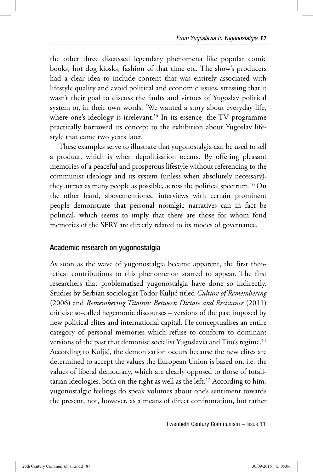the other three discussed legendary phenomena like popular comic books, hot dog kiosks, fashion of that time etc. The show's producers had a clear idea to include content that was entirely associated with lifestyle quality and avoid political and economic issues, stressing that it wasn't their goal to discuss the faults and virtues of Yugoslav political system or, in their own words: 'We wanted a story about everyday life, where one's ideology is irrelevant.<sup>'9</sup> In its essence, the TV programme practically borrowed its concept to the exhibition about Yugoslav lifestyle that came two years later.

These examples serve to illustrate that yugonostalgia can be used to sell a product, which is when depolitisation occurs. By offering pleasant memories of a peaceful and prosperous lifestyle without referencing to the communist ideology and its system (unless when absolutely necessary), they attract as many people as possible, across the political spectrum.10 On the other hand, abovementioned interviews with certain prominent people demonstrate that personal nostalgic narratives can in fact be political, which seems to imply that there are those for whom fond memories of the SFRY are directly related to its modes of governance.

## Academic research on yugonostalgia

As soon as the wave of yugonostalgia became apparent, the first theoretical contributions to this phenomenon started to appear. The first researchers that problematised yugonostalgia have done so indirectly. Studies by Serbian sociologist Todor Kuljić titled *Culture of Remembering* (2006) and *Remembering Titoism: Between Dictate and Resistance* (2011) criticise so-called hegemonic discourses – versions of the past imposed by new political elites and international capital. He conceptualises an entire category of personal memories which refuse to conform to dominant versions of the past that demonise socialist Yugoslavia and Tito's regime.11 According to Kuljić, the demonisation occurs because the new elites are determined to accept the values the European Union is based on, i.e. the values of liberal democracy, which are clearly opposed to those of totalitarian ideologies, both on the right as well as the left.12 According to him, yugonostalgic feelings do speak volumes about one's sentiment towards the present, not, however, as a means of direct confrontation, but rather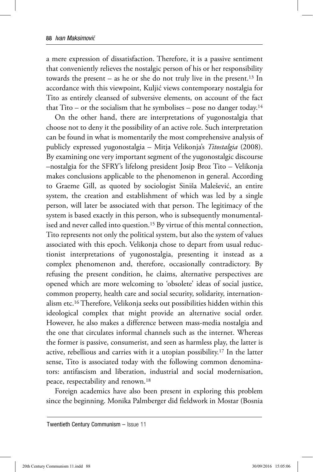a mere expression of dissatisfaction. Therefore, it is a passive sentiment that conveniently relieves the nostalgic person of his or her responsibility towards the present – as he or she do not truly live in the present.<sup>13</sup> In accordance with this viewpoint, Kuljić views contemporary nostalgia for Tito as entirely cleansed of subversive elements, on account of the fact that Tito – or the socialism that he symbolises – pose no danger today.<sup>14</sup>

On the other hand, there are interpretations of yugonostalgia that choose not to deny it the possibility of an active role. Such interpretation can be found in what is momentarily the most comprehensive analysis of publicly expressed yugonostalgia – Mitja Velikonja's *Titostalgia* (2008). By examining one very important segment of the yugonostalgic discourse –nostalgia for the SFRY's lifelong president Josip Broz Tito – Velikonja makes conclusions applicable to the phenomenon in general. According to Graeme Gill, as quoted by sociologist Siniša Malešević, an entire system, the creation and establishment of which was led by a single person, will later be associated with that person. The legitimacy of the system is based exactly in this person, who is subsequently monumentalised and never called into question.15 By virtue of this mental connection, Tito represents not only the political system, but also the system of values associated with this epoch. Velikonja chose to depart from usual reductionist interpretations of yugonostalgia, presenting it instead as a complex phenomenon and, therefore, occasionally contradictory. By refusing the present condition, he claims, alternative perspectives are opened which are more welcoming to 'obsolete' ideas of social justice, common property, health care and social security, solidarity, internationalism etc.16 Therefore, Velikonja seeks out possibilities hidden within this ideological complex that might provide an alternative social order. However, he also makes a difference between mass-media nostalgia and the one that circulates informal channels such as the internet. Whereas the former is passive, consumerist, and seen as harmless play, the latter is active, rebellious and carries with it a utopian possibility.17 In the latter sense, Tito is associated today with the following common denominators: antifascism and liberation, industrial and social modernisation, peace, respectability and renown.18

Foreign academics have also been present in exploring this problem since the beginning. Monika Palmberger did fieldwork in Mostar (Bosnia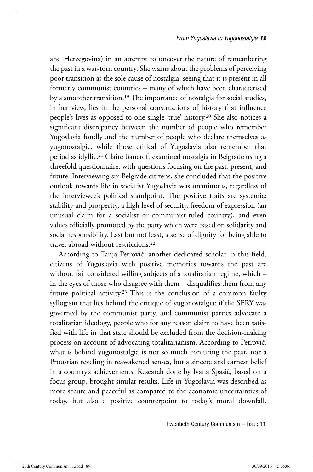and Herzegovina) in an attempt to uncover the nature of remembering the past in a war-torn country. She warns about the problems of perceiving poor transition as the sole cause of nostalgia, seeing that it is present in all formerly communist countries – many of which have been characterised by a smoother transition.<sup>19</sup> The importance of nostalgia for social studies, in her view, lies in the personal constructions of history that influence people's lives as opposed to one single 'true' history.20 She also notices a significant discrepancy between the number of people who remember Yugoslavia fondly and the number of people who declare themselves as yugonostalgic, while those critical of Yugoslavia also remember that period as idyllic.21 Claire Bancroft examined nostalgia in Belgrade using a threefold questionnaire, with questions focusing on the past, present, and future. Interviewing six Belgrade citizens, she concluded that the positive outlook towards life in socialist Yugoslavia was unanimous, regardless of the interviewee's political standpoint. The positive traits are systemic: stability and prosperity, a high level of security, freedom of expression (an unusual claim for a socialist or communist-ruled country), and even values officially promoted by the party which were based on solidarity and social responsibility. Last but not least, a sense of dignity for being able to travel abroad without restrictions.22

According to Tanja Petrović, another dedicated scholar in this field, citizens of Yugoslavia with positive memories towards the past are without fail considered willing subjects of a totalitarian regime, which – in the eyes of those who disagree with them – disqualifies them from any future political activity.23 This is the conclusion of a common faulty syllogism that lies behind the critique of yugonostalgia: if the SFRY was governed by the communist party, and communist parties advocate a totalitarian ideology, people who for any reason claim to have been satisfied with life in that state should be excluded from the decision-making process on account of advocating totalitarianism. According to Petrović, what is behind yugonostalgia is not so much conjuring the past, nor a Proustian reveling in reawakened senses, but a sincere and earnest belief in a country's achievements. Research done by Ivana Spasić, based on a focus group, brought similar results. Life in Yugoslavia was described as more secure and peaceful as compared to the economic uncertainties of today, but also a positive counterpoint to today's moral downfall.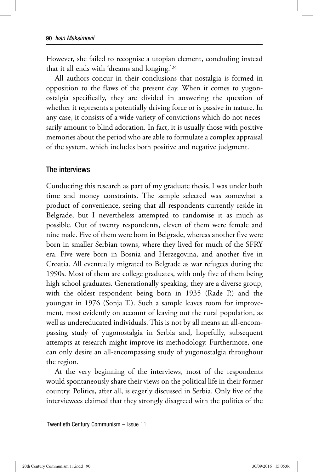However, she failed to recognise a utopian element, concluding instead that it all ends with 'dreams and longing.'24

All authors concur in their conclusions that nostalgia is formed in opposition to the flaws of the present day. When it comes to yugonostalgia specifically, they are divided in answering the question of whether it represents a potentially driving force or is passive in nature. In any case, it consists of a wide variety of convictions which do not necessarily amount to blind adoration. In fact, it is usually those with positive memories about the period who are able to formulate a complex appraisal of the system, which includes both positive and negative judgment.

#### The interviews

Conducting this research as part of my graduate thesis, I was under both time and money constraints. The sample selected was somewhat a product of convenience, seeing that all respondents currently reside in Belgrade, but I nevertheless attempted to randomise it as much as possible. Out of twenty respondents, eleven of them were female and nine male. Five of them were born in Belgrade, whereas another five were born in smaller Serbian towns, where they lived for much of the SFRY era. Five were born in Bosnia and Herzegovina, and another five in Croatia. All eventually migrated to Belgrade as war refugees during the 1990s. Most of them are college graduates, with only five of them being high school graduates. Generationally speaking, they are a diverse group, with the oldest respondent being born in 1935 (Rade P.) and the youngest in 1976 (Sonja T.). Such a sample leaves room for improvement, most evidently on account of leaving out the rural population, as well as undereducated individuals. This is not by all means an all-encompassing study of yugonostalgia in Serbia and, hopefully, subsequent attempts at research might improve its methodology. Furthermore, one can only desire an all-encompassing study of yugonostalgia throughout the region.

At the very beginning of the interviews, most of the respondents would spontaneously share their views on the political life in their former country. Politics, after all, is eagerly discussed in Serbia. Only five of the interviewees claimed that they strongly disagreed with the politics of the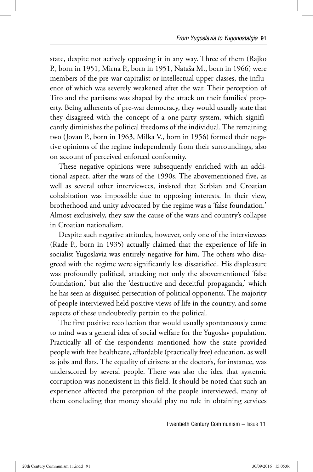state, despite not actively opposing it in any way. Three of them (Rajko P., born in 1951, Mirna P., born in 1951, Nataša M., born in 1966) were members of the pre-war capitalist or intellectual upper classes, the influence of which was severely weakened after the war. Their perception of Tito and the partisans was shaped by the attack on their families' property. Being adherents of pre-war democracy, they would usually state that they disagreed with the concept of a one-party system, which significantly diminishes the political freedoms of the individual. The remaining two (Jovan P., born in 1963, Milka V., born in 1956) formed their negative opinions of the regime independently from their surroundings, also on account of perceived enforced conformity.

These negative opinions were subsequently enriched with an additional aspect, after the wars of the 1990s. The abovementioned five, as well as several other interviewees, insisted that Serbian and Croatian cohabitation was impossible due to opposing interests. In their view, brotherhood and unity advocated by the regime was a 'false foundation.' Almost exclusively, they saw the cause of the wars and country's collapse in Croatian nationalism.

Despite such negative attitudes, however, only one of the interviewees (Rade P., born in 1935) actually claimed that the experience of life in socialist Yugoslavia was entirely negative for him. The others who disagreed with the regime were significantly less dissatisfied. His displeasure was profoundly political, attacking not only the abovementioned 'false foundation,' but also the 'destructive and deceitful propaganda,' which he has seen as disguised persecution of political opponents. The majority of people interviewed held positive views of life in the country, and some aspects of these undoubtedly pertain to the political.

The first positive recollection that would usually spontaneously come to mind was a general idea of social welfare for the Yugoslav population. Practically all of the respondents mentioned how the state provided people with free healthcare, affordable (practically free) education, as well as jobs and flats. The equality of citizens at the doctor's, for instance, was underscored by several people. There was also the idea that systemic corruption was nonexistent in this field. It should be noted that such an experience affected the perception of the people interviewed, many of them concluding that money should play no role in obtaining services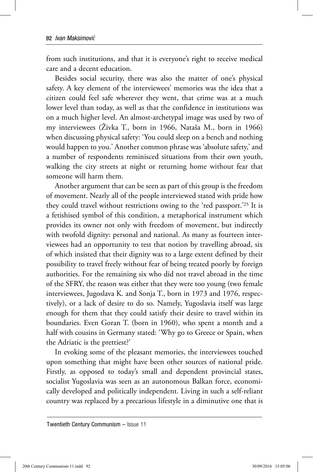from such institutions, and that it is everyone's right to receive medical care and a decent education.

Besides social security, there was also the matter of one's physical safety. A key element of the interviewees' memories was the idea that a citizen could feel safe wherever they went, that crime was at a much lower level than today, as well as that the confidence in institutions was on a much higher level. An almost-archetypal image was used by two of my interviewees (Živka T., born in 1966, Nataša M., born in 1966) when discussing physical safety: 'You could sleep on a bench and nothing would happen to you.' Another common phrase was 'absolute safety,' and a number of respondents reminisced situations from their own youth, walking the city streets at night or returning home without fear that someone will harm them.

Another argument that can be seen as part of this group is the freedom of movement. Nearly all of the people interviewed stated with pride how they could travel without restrictions owing to the 'red passport.'25 It is a fetishised symbol of this condition, a metaphorical instrument which provides its owner not only with freedom of movement, but indirectly with twofold dignity: personal and national. As many as fourteen interviewees had an opportunity to test that notion by travelling abroad, six of which insisted that their dignity was to a large extent defined by their possibility to travel freely without fear of being treated poorly by foreign authorities. For the remaining six who did not travel abroad in the time of the SFRY, the reason was either that they were too young (two female interviewees, Jugoslava K. and Sonja T., born in 1973 and 1976, respectively), or a lack of desire to do so. Namely, Yugoslavia itself was large enough for them that they could satisfy their desire to travel within its boundaries. Even Goran T. (born in 1960), who spent a month and a half with cousins in Germany stated: 'Why go to Greece or Spain, when the Adriatic is the prettiest?'

In evoking some of the pleasant memories, the interviewees touched upon something that might have been other sources of national pride. Firstly, as opposed to today's small and dependent provincial states, socialist Yugoslavia was seen as an autonomous Balkan force, economically developed and politically independent. Living in such a self-reliant country was replaced by a precarious lifestyle in a diminutive one that is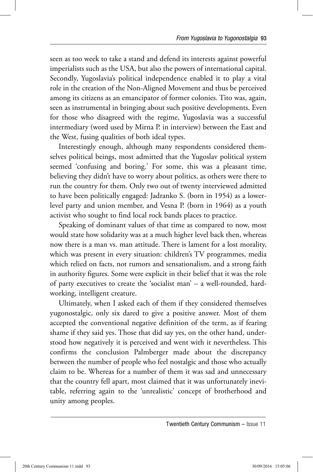seen as too week to take a stand and defend its interests against powerful imperialists such as the USA, but also the powers of international capital. Secondly, Yugoslavia's political independence enabled it to play a vital role in the creation of the Non-Aligned Movement and thus be perceived among its citizens as an emancipator of former colonies. Tito was, again, seen as instrumental in bringing about such positive developments. Even for those who disagreed with the regime, Yugoslavia was a successful intermediary (word used by Mirna P. in interview) between the East and the West, fusing qualities of both ideal types.

Interestingly enough, although many respondents considered themselves political beings, most admitted that the Yugoslav political system seemed 'confusing and boring.' For some, this was a pleasant time, believing they didn't have to worry about politics, as others were there to run the country for them. Only two out of twenty interviewed admitted to have been politically engaged: Jadranko S. (born in 1954) as a lowerlevel party and union member, and Vesna P. (born in 1964) as a youth activist who sought to find local rock bands places to practice.

Speaking of dominant values of that time as compared to now, most would state how solidarity was at a much higher level back then, whereas now there is a man vs. man attitude. There is lament for a lost morality, which was present in every situation: children's TV programmes, media which relied on facts, not rumors and sensationalism, and a strong faith in authority figures. Some were explicit in their belief that it was the role of party executives to create the 'socialist man' – a well-rounded, hardworking, intelligent creature.

Ultimately, when I asked each of them if they considered themselves yugonostalgic, only six dared to give a positive answer. Most of them accepted the conventional negative definition of the term, as if fearing shame if they said yes. Those that did say yes, on the other hand, understood how negatively it is perceived and went with it nevertheless. This confirms the conclusion Palmberger made about the discrepancy between the number of people who feel nostalgic and those who actually claim to be. Whereas for a number of them it was sad and unnecessary that the country fell apart, most claimed that it was unfortunately inevitable, referring again to the 'unrealistic' concept of brotherhood and unity among peoples.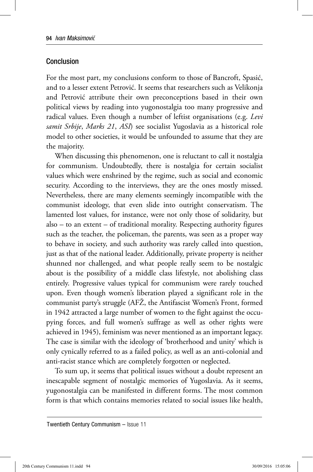### Conclusion

For the most part, my conclusions conform to those of Bancroft, Spasić, and to a lesser extent Petrović. It seems that researchers such as Velikonja and Petrović attribute their own preconceptions based in their own political views by reading into yugonostalgia too many progressive and radical values. Even though a number of leftist organisations (e.g. *Levi samit Srbije*, *Marks 21*, *ASI*) see socialist Yugoslavia as a historical role model to other societies, it would be unfounded to assume that they are the majority.

When discussing this phenomenon, one is reluctant to call it nostalgia for communism. Undoubtedly, there is nostalgia for certain socialist values which were enshrined by the regime, such as social and economic security. According to the interviews, they are the ones mostly missed. Nevertheless, there are many elements seemingly incompatible with the communist ideology, that even slide into outright conservatism. The lamented lost values, for instance, were not only those of solidarity, but also – to an extent – of traditional morality. Respecting authority figures such as the teacher, the policeman, the parents, was seen as a proper way to behave in society, and such authority was rarely called into question, just as that of the national leader. Additionally, private property is neither shunned nor challenged, and what people really seem to be nostalgic about is the possibility of a middle class lifestyle, not abolishing class entirely. Progressive values typical for communism were rarely touched upon. Even though women's liberation played a significant role in the communist party's struggle (AFŽ, the Antifascist Women's Front, formed in 1942 attracted a large number of women to the fight against the occupying forces, and full women's suffrage as well as other rights were achieved in 1945), feminism was never mentioned as an important legacy. The case is similar with the ideology of 'brotherhood and unity' which is only cynically referred to as a failed policy, as well as an anti-colonial and anti-racist stance which are completely forgotten or neglected.

To sum up, it seems that political issues without a doubt represent an inescapable segment of nostalgic memories of Yugoslavia. As it seems, yugonostalgia can be manifested in different forms. The most common form is that which contains memories related to social issues like health,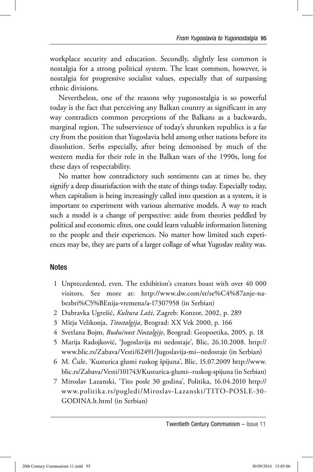workplace security and education. Secondly, slightly less common is nostalgia for a strong political system. The least common, however, is nostalgia for progressive socialist values, especially that of surpassing ethnic divisions.

Nevertheless, one of the reasons why yugonostalgia is so powerful today is the fact that perceiving any Balkan country as significant in any way contradicts common perceptions of the Balkans as a backwards, marginal region. The subservience of today's shrunken republics is a far cry from the position that Yugoslavia held among other nations before its dissolution. Serbs especially, after being demonised by much of the western media for their role in the Balkan wars of the 1990s, long for these days of respectability.

No matter how contradictory such sentiments can at times be, they signify a deep dissatisfaction with the state of things today. Especially today, when capitalism is being increasingly called into question as a system, it is important to experiment with various alternative models. A way to reach such a model is a change of perspective: aside from theories peddled by political and economic elites, one could learn valuable information listening to the people and their experiences. No matter how limited such experiences may be, they are parts of a larger collage of what Yugoslav reality was.

#### Notes

- 1 Unprecedented, even. The exhibition's creators boast with over 40 000 visitors. See more at: http://www.dw.com/sr/se%C4%87anje-nabezbri%C5%BEnija-vremena/a-17307958 (in Serbian)
- 2 Dubravka Ugrešić, *Kultura Laži*, Zagreb: Konzor, 2002, p. 289
- 3 Mitja Velikonja, *Titostalgija*, Beograd: XX Vek 2000, p. 166
- 4 Svetlana Bojm, *Budućnost Nostalgije*, Beograd: Geopoetika, 2005, p. 18
- 5 Marija Radojković, 'Jugoslavija mi nedostaje', Blic, 26.10.2008. http:// www.blic.rs/Zabava/Vesti/62491/Jugoslavija-mi--nedostaje (in Serbian)
- 6 M. Čule, 'Kusturica glumi ruskog špijuna', Blic, 15.07.2009 http://www. blic.rs/Zabava/Vesti/101743/Kusturica-glumi--ruskog-spijuna (in Serbian)
- 7 Miroslav Lazanski, 'Tito posle 30 godina', Politika, 16.04.2010 http:// www.politika.rs/pogledi/Miroslav-Lazanski/TITO-POSLE-30- GODINA.lt.html (in Serbian)